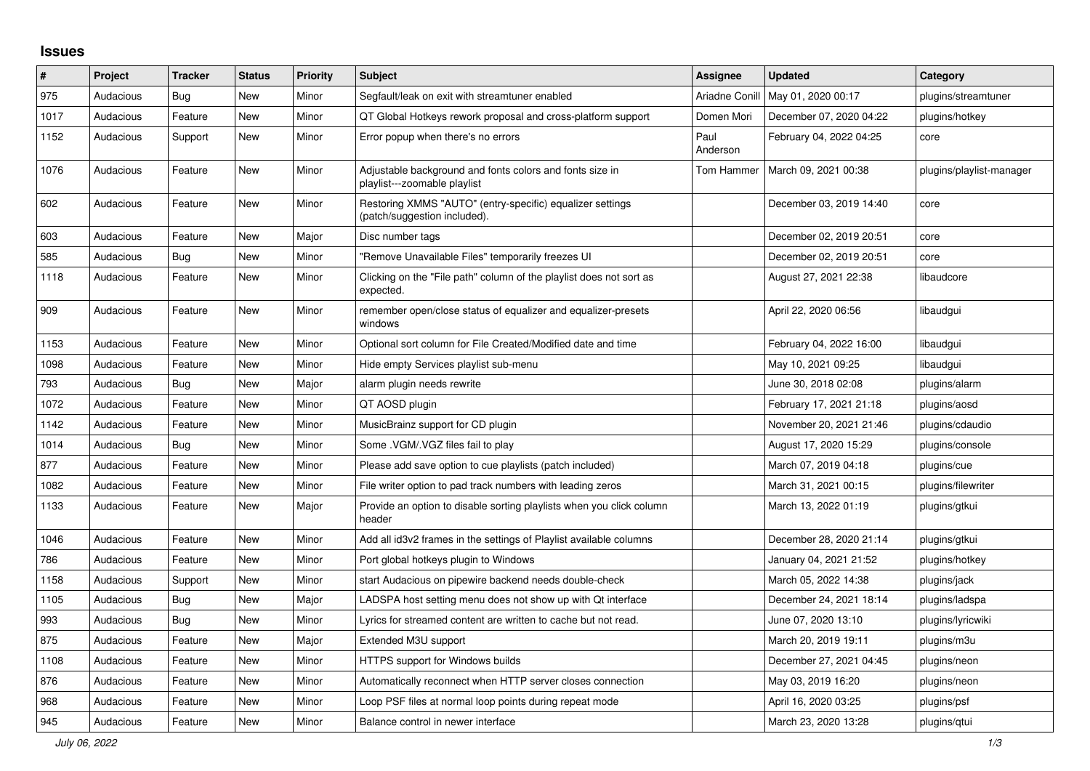## **Issues**

| #    | Project   | <b>Tracker</b> | <b>Status</b> | <b>Priority</b> | <b>Subject</b>                                                                            | <b>Assignee</b>  | <b>Updated</b>          | Category                 |
|------|-----------|----------------|---------------|-----------------|-------------------------------------------------------------------------------------------|------------------|-------------------------|--------------------------|
| 975  | Audacious | <b>Bug</b>     | <b>New</b>    | Minor           | Segfault/leak on exit with streamtuner enabled                                            | Ariadne Conill   | May 01, 2020 00:17      | plugins/streamtuner      |
| 1017 | Audacious | Feature        | <b>New</b>    | Minor           | QT Global Hotkeys rework proposal and cross-platform support                              | Domen Mori       | December 07, 2020 04:22 | plugins/hotkey           |
| 1152 | Audacious | Support        | <b>New</b>    | Minor           | Error popup when there's no errors                                                        | Paul<br>Anderson | February 04, 2022 04:25 | core                     |
| 1076 | Audacious | Feature        | <b>New</b>    | Minor           | Adjustable background and fonts colors and fonts size in<br>playlist---zoomable playlist  | Tom Hammer       | March 09, 2021 00:38    | plugins/playlist-manager |
| 602  | Audacious | Feature        | New           | Minor           | Restoring XMMS "AUTO" (entry-specific) equalizer settings<br>(patch/suggestion included). |                  | December 03, 2019 14:40 | core                     |
| 603  | Audacious | Feature        | <b>New</b>    | Major           | Disc number tags                                                                          |                  | December 02, 2019 20:51 | core                     |
| 585  | Audacious | <b>Bug</b>     | <b>New</b>    | Minor           | "Remove Unavailable Files" temporarily freezes UI                                         |                  | December 02, 2019 20:51 | core                     |
| 1118 | Audacious | Feature        | <b>New</b>    | Minor           | Clicking on the "File path" column of the playlist does not sort as<br>expected.          |                  | August 27, 2021 22:38   | libaudcore               |
| 909  | Audacious | Feature        | <b>New</b>    | Minor           | remember open/close status of equalizer and equalizer-presets<br>windows                  |                  | April 22, 2020 06:56    | libaudgui                |
| 1153 | Audacious | Feature        | New           | Minor           | Optional sort column for File Created/Modified date and time                              |                  | February 04, 2022 16:00 | libaudgui                |
| 1098 | Audacious | Feature        | <b>New</b>    | Minor           | Hide empty Services playlist sub-menu                                                     |                  | May 10, 2021 09:25      | libaudgui                |
| 793  | Audacious | <b>Bug</b>     | <b>New</b>    | Major           | alarm plugin needs rewrite                                                                |                  | June 30, 2018 02:08     | plugins/alarm            |
| 1072 | Audacious | Feature        | <b>New</b>    | Minor           | QT AOSD plugin                                                                            |                  | February 17, 2021 21:18 | plugins/aosd             |
| 1142 | Audacious | Feature        | <b>New</b>    | Minor           | MusicBrainz support for CD plugin                                                         |                  | November 20, 2021 21:46 | plugins/cdaudio          |
| 1014 | Audacious | <b>Bug</b>     | <b>New</b>    | Minor           | Some .VGM/.VGZ files fail to play                                                         |                  | August 17, 2020 15:29   | plugins/console          |
| 877  | Audacious | Feature        | <b>New</b>    | Minor           | Please add save option to cue playlists (patch included)                                  |                  | March 07, 2019 04:18    | plugins/cue              |
| 1082 | Audacious | Feature        | New           | Minor           | File writer option to pad track numbers with leading zeros                                |                  | March 31, 2021 00:15    | plugins/filewriter       |
| 1133 | Audacious | Feature        | New           | Major           | Provide an option to disable sorting playlists when you click column<br>header            |                  | March 13, 2022 01:19    | plugins/gtkui            |
| 1046 | Audacious | Feature        | New           | Minor           | Add all id3v2 frames in the settings of Playlist available columns                        |                  | December 28, 2020 21:14 | plugins/gtkui            |
| 786  | Audacious | Feature        | <b>New</b>    | Minor           | Port global hotkeys plugin to Windows                                                     |                  | January 04, 2021 21:52  | plugins/hotkey           |
| 1158 | Audacious | Support        | <b>New</b>    | Minor           | start Audacious on pipewire backend needs double-check                                    |                  | March 05, 2022 14:38    | plugins/jack             |
| 1105 | Audacious | Bug            | <b>New</b>    | Major           | LADSPA host setting menu does not show up with Qt interface                               |                  | December 24, 2021 18:14 | plugins/ladspa           |
| 993  | Audacious | <b>Bug</b>     | <b>New</b>    | Minor           | Lyrics for streamed content are written to cache but not read.                            |                  | June 07, 2020 13:10     | plugins/lyricwiki        |
| 875  | Audacious | Feature        | <b>New</b>    | Major           | Extended M3U support                                                                      |                  | March 20, 2019 19:11    | plugins/m3u              |
| 1108 | Audacious | Feature        | <b>New</b>    | Minor           | HTTPS support for Windows builds                                                          |                  | December 27, 2021 04:45 | plugins/neon             |
| 876  | Audacious | Feature        | New           | Minor           | Automatically reconnect when HTTP server closes connection                                |                  | May 03, 2019 16:20      | plugins/neon             |
| 968  | Audacious | Feature        | New           | Minor           | Loop PSF files at normal loop points during repeat mode                                   |                  | April 16, 2020 03:25    | plugins/psf              |
| 945  | Audacious | Feature        | <b>New</b>    | Minor           | Balance control in newer interface                                                        |                  | March 23, 2020 13:28    | plugins/qtui             |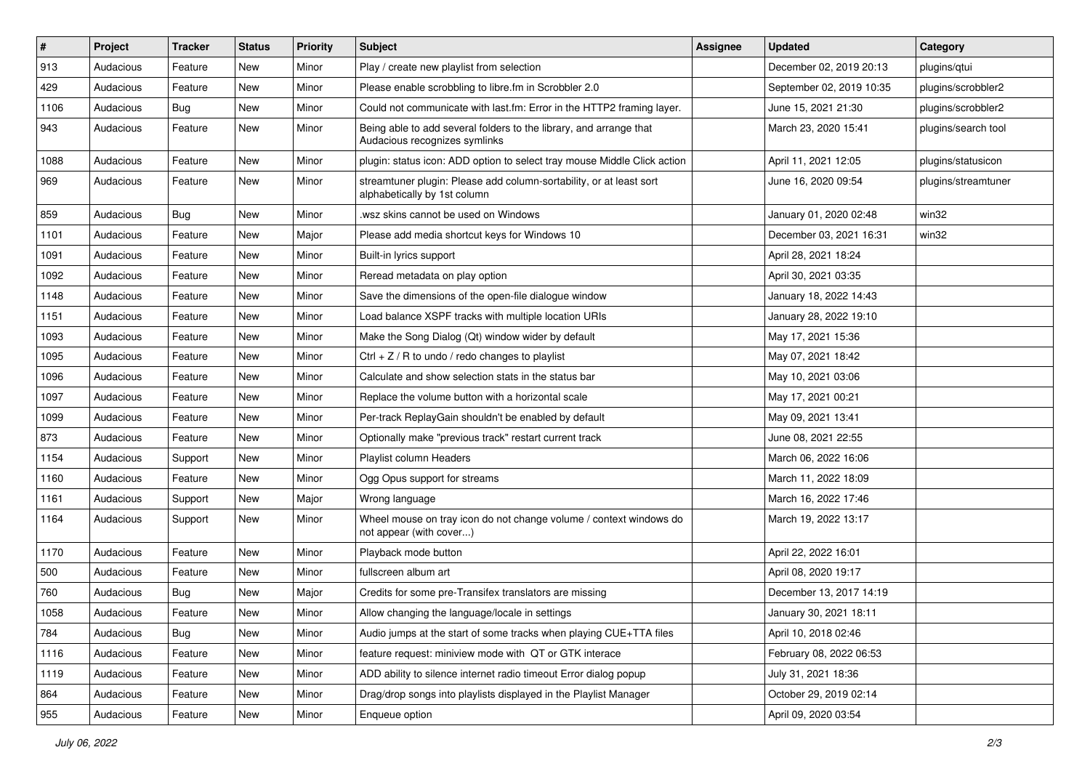| #    | Project   | <b>Tracker</b> | <b>Status</b> | <b>Priority</b> | <b>Subject</b>                                                                                      | <b>Assignee</b> | <b>Updated</b>           | Category            |
|------|-----------|----------------|---------------|-----------------|-----------------------------------------------------------------------------------------------------|-----------------|--------------------------|---------------------|
| 913  | Audacious | Feature        | New           | Minor           | Play / create new playlist from selection                                                           |                 | December 02, 2019 20:13  | plugins/qtui        |
| 429  | Audacious | Feature        | <b>New</b>    | Minor           | Please enable scrobbling to libre.fm in Scrobbler 2.0                                               |                 | September 02, 2019 10:35 | plugins/scrobbler2  |
| 1106 | Audacious | Bug            | New           | Minor           | Could not communicate with last.fm: Error in the HTTP2 framing layer.                               |                 | June 15, 2021 21:30      | plugins/scrobbler2  |
| 943  | Audacious | Feature        | New           | Minor           | Being able to add several folders to the library, and arrange that<br>Audacious recognizes symlinks |                 | March 23, 2020 15:41     | plugins/search tool |
| 1088 | Audacious | Feature        | New           | Minor           | plugin: status icon: ADD option to select tray mouse Middle Click action                            |                 | April 11, 2021 12:05     | plugins/statusicon  |
| 969  | Audacious | Feature        | New           | Minor           | streamtuner plugin: Please add column-sortability, or at least sort<br>alphabetically by 1st column |                 | June 16, 2020 09:54      | plugins/streamtuner |
| 859  | Audacious | Bug            | New           | Minor           | .wsz skins cannot be used on Windows                                                                |                 | January 01, 2020 02:48   | win32               |
| 1101 | Audacious | Feature        | <b>New</b>    | Major           | Please add media shortcut keys for Windows 10                                                       |                 | December 03, 2021 16:31  | win32               |
| 1091 | Audacious | Feature        | New           | Minor           | Built-in lyrics support                                                                             |                 | April 28, 2021 18:24     |                     |
| 1092 | Audacious | Feature        | New           | Minor           | Reread metadata on play option                                                                      |                 | April 30, 2021 03:35     |                     |
| 1148 | Audacious | Feature        | New           | Minor           | Save the dimensions of the open-file dialogue window                                                |                 | January 18, 2022 14:43   |                     |
| 1151 | Audacious | Feature        | New           | Minor           | Load balance XSPF tracks with multiple location URIs                                                |                 | January 28, 2022 19:10   |                     |
| 1093 | Audacious | Feature        | New           | Minor           | Make the Song Dialog (Qt) window wider by default                                                   |                 | May 17, 2021 15:36       |                     |
| 1095 | Audacious | Feature        | New           | Minor           | Ctrl + $Z$ / R to undo / redo changes to playlist                                                   |                 | May 07, 2021 18:42       |                     |
| 1096 | Audacious | Feature        | New           | Minor           | Calculate and show selection stats in the status bar                                                |                 | May 10, 2021 03:06       |                     |
| 1097 | Audacious | Feature        | New           | Minor           | Replace the volume button with a horizontal scale                                                   |                 | May 17, 2021 00:21       |                     |
| 1099 | Audacious | Feature        | New           | Minor           | Per-track ReplayGain shouldn't be enabled by default                                                |                 | May 09, 2021 13:41       |                     |
| 873  | Audacious | Feature        | New           | Minor           | Optionally make "previous track" restart current track                                              |                 | June 08, 2021 22:55      |                     |
| 1154 | Audacious | Support        | New           | Minor           | Playlist column Headers                                                                             |                 | March 06, 2022 16:06     |                     |
| 1160 | Audacious | Feature        | New           | Minor           | Ogg Opus support for streams                                                                        |                 | March 11, 2022 18:09     |                     |
| 1161 | Audacious | Support        | New           | Major           | Wrong language                                                                                      |                 | March 16, 2022 17:46     |                     |
| 1164 | Audacious | Support        | New           | Minor           | Wheel mouse on tray icon do not change volume / context windows do<br>not appear (with cover)       |                 | March 19, 2022 13:17     |                     |
| 1170 | Audacious | Feature        | New           | Minor           | Playback mode button                                                                                |                 | April 22, 2022 16:01     |                     |
| 500  | Audacious | Feature        | New           | Minor           | fullscreen album art                                                                                |                 | April 08, 2020 19:17     |                     |
| 760  | Audacious | <b>Bug</b>     | New           | Major           | Credits for some pre-Transifex translators are missing                                              |                 | December 13, 2017 14:19  |                     |
| 1058 | Audacious | Feature        | New           | Minor           | Allow changing the language/locale in settings                                                      |                 | January 30, 2021 18:11   |                     |
| 784  | Audacious | Bug            | New           | Minor           | Audio jumps at the start of some tracks when playing CUE+TTA files                                  |                 | April 10, 2018 02:46     |                     |
| 1116 | Audacious | Feature        | New           | Minor           | feature request: miniview mode with QT or GTK interace                                              |                 | February 08, 2022 06:53  |                     |
| 1119 | Audacious | Feature        | New           | Minor           | ADD ability to silence internet radio timeout Error dialog popup                                    |                 | July 31, 2021 18:36      |                     |
| 864  | Audacious | Feature        | New           | Minor           | Drag/drop songs into playlists displayed in the Playlist Manager                                    |                 | October 29, 2019 02:14   |                     |
| 955  | Audacious | Feature        | New           | Minor           | Enqueue option                                                                                      |                 | April 09, 2020 03:54     |                     |